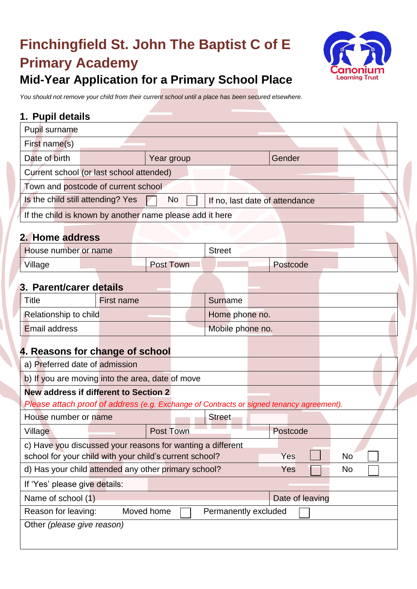# **Finchingfield St. John The Baptist C of E Primary Academy Mid-Year Application for a Primary School Place**



#### *You should not remove your child from their current school until a place has been secured elsewhere.*

#### **1. Pupil details**

| Pupil surname                       |                                                          |                                |  |  |  |  |  |  |
|-------------------------------------|----------------------------------------------------------|--------------------------------|--|--|--|--|--|--|
| First name(s)                       |                                                          |                                |  |  |  |  |  |  |
| Date of birth                       | Year group                                               | Gender                         |  |  |  |  |  |  |
|                                     | Current school (or last school attended)                 |                                |  |  |  |  |  |  |
| Town and postcode of current school |                                                          |                                |  |  |  |  |  |  |
| Is the child still attending? Yes   | <b>No</b>                                                | If no, last date of attendance |  |  |  |  |  |  |
|                                     | If the child is known by another name please add it here |                                |  |  |  |  |  |  |
| 2. Home address                     |                                                          |                                |  |  |  |  |  |  |
| Llauga pupakan an napa              | C112221                                                  |                                |  |  |  |  |  |  |

| House number or name |                  | <b>Street</b> |          |
|----------------------|------------------|---------------|----------|
| Village              | <b>Post Town</b> |               | Postcode |

### **3. Parent/carer details**

| l Title               | First name | Surname          |  |
|-----------------------|------------|------------------|--|
| Relationship to child |            | Home phone no.   |  |
| <b>Email address</b>  |            | Mobile phone no. |  |

## **4. Reasons for change of school**

| a) Preferred date of admission                                                           |  |           |  |               |  |                 |  |  |  |
|------------------------------------------------------------------------------------------|--|-----------|--|---------------|--|-----------------|--|--|--|
| b) If you are moving into the area, date of move                                         |  |           |  |               |  |                 |  |  |  |
| New address if different to Section 2                                                    |  |           |  |               |  |                 |  |  |  |
| Please attach proof of address (e.g. Exchange of Contracts or signed tenancy agreement). |  |           |  |               |  |                 |  |  |  |
| House number or name                                                                     |  |           |  | <b>Street</b> |  |                 |  |  |  |
| Village                                                                                  |  | Post Town |  |               |  | Postcode        |  |  |  |
| c) Have you discussed your reasons for wanting a different                               |  |           |  |               |  |                 |  |  |  |
| school for your child with your child's current school?<br>N <sub>o</sub><br>Yes         |  |           |  |               |  |                 |  |  |  |
| d) Has your child attended any other primary school?<br><b>Yes</b><br>N <sub>o</sub>     |  |           |  |               |  |                 |  |  |  |
| If 'Yes' please give details:                                                            |  |           |  |               |  |                 |  |  |  |
| Name of school (1)                                                                       |  |           |  |               |  | Date of leaving |  |  |  |
| Moved home<br>Reason for leaving:<br>Permanently excluded                                |  |           |  |               |  |                 |  |  |  |
| Other (please give reason)                                                               |  |           |  |               |  |                 |  |  |  |
|                                                                                          |  |           |  |               |  |                 |  |  |  |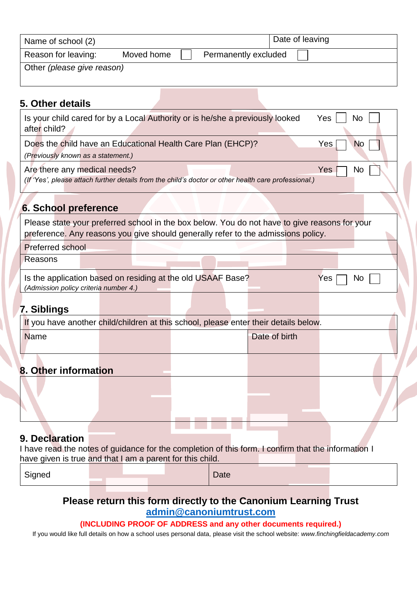| Name of school (2)         |            |                      | Date of leaving |
|----------------------------|------------|----------------------|-----------------|
| Reason for leaving:        | Moved home | Permanently excluded |                 |
| Other (please give reason) |            |                      |                 |

#### **5. Other details**

| Is your child cared for by a Local Authority or is he/she a previously looked<br>Yes<br>No<br>after child?                                                                         |  |  |  |  |  |  |  |
|------------------------------------------------------------------------------------------------------------------------------------------------------------------------------------|--|--|--|--|--|--|--|
| Does the child have an Educational Health Care Plan (EHCP)?<br>Yes<br><b>No</b>                                                                                                    |  |  |  |  |  |  |  |
| (Previously known as a statement.)                                                                                                                                                 |  |  |  |  |  |  |  |
| Are there any medical needs?<br>Yes<br>No.<br>(If 'Yes', please attach further details from the child's doctor or other health care professional.)                                 |  |  |  |  |  |  |  |
| <b>6. School preference</b>                                                                                                                                                        |  |  |  |  |  |  |  |
| Please state your preferred school in the box below. You do not have to give reasons for your<br>preference. Any reasons you give should generally refer to the admissions policy. |  |  |  |  |  |  |  |
| <b>Preferred school</b>                                                                                                                                                            |  |  |  |  |  |  |  |
| Reasons                                                                                                                                                                            |  |  |  |  |  |  |  |
| Is the application based on residing at the old USAAF Base?<br>Yes<br><b>No</b><br>(Admission policy criteria number 4.)                                                           |  |  |  |  |  |  |  |
| 7. Siblings                                                                                                                                                                        |  |  |  |  |  |  |  |

| If you have another child/children at this school, please enter their details below. |  |  |               |  |  |  |  |  |
|--------------------------------------------------------------------------------------|--|--|---------------|--|--|--|--|--|
| <b>Name</b>                                                                          |  |  | Date of birth |  |  |  |  |  |
|                                                                                      |  |  |               |  |  |  |  |  |
|                                                                                      |  |  |               |  |  |  |  |  |
| 8. Other information                                                                 |  |  |               |  |  |  |  |  |
|                                                                                      |  |  |               |  |  |  |  |  |

### **9. Declaration**

I have read the notes of guidance for the completion of this form. I confirm that the information I have given is true and that I am a parent for this child.

| Signed |  |  | Date |  |  |
|--------|--|--|------|--|--|
|        |  |  |      |  |  |

#### **Please return this form directly to the Canonium Learning Trust [admin@canoniumtrust.com](mailto:admin@canoniumtrust.com)**

#### **(INCLUDING PROOF OF ADDRESS and any other documents required.)**

If you would like full details on how a school uses personal data, please visit the school website: *www.finchingfieldacademy.com*